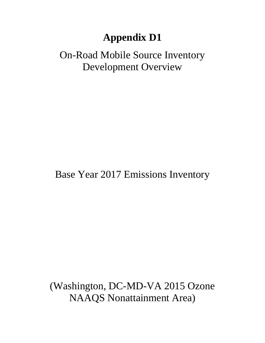# **Appendix D1**

# On-Road Mobile Source Inventory Development Overview

Base Year 2017 Emissions Inventory

(Washington, DC-MD-VA 2015 Ozone NAAQS Nonattainment Area)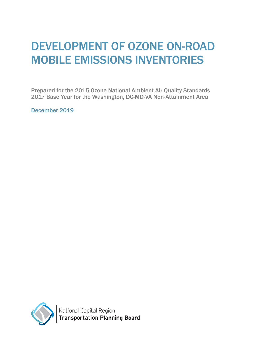# DEVELOPMENT OF OZONE ON-ROAD MOBILE EMISSIONS INVENTORIES

Prepared for the 2015 Ozone National Ambient Air Quality Standards 2017 Base Year for the Washington, DC-MD-VA Non-Attainment Area

December 2019

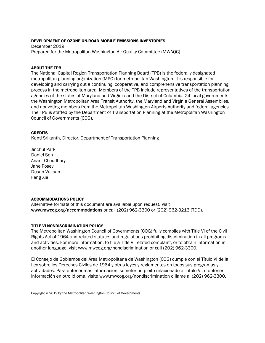#### DEVELOPMENT OF OZONE ON-ROAD MOBILE EMISSIONS INVENTORIES

December 2019 Prepared for the Metropolitan Washington Air Quality Committee (MWAQC)

#### ABOUT THE TPB

The National Capital Region Transportation Planning Board (TPB) is the federally designated metropolitan planning organization (MPO) for metropolitan Washington. It is responsible for developing and carrying out a continuing, cooperative, and comprehensive transportation planning process in the metropolitan area. Members of the TPB include representatives of the transportation agencies of the states of Maryland and Virginia and the District of Columbia, 24 local governments, the Washington Metropolitan Area Transit Authority, the Maryland and Virginia General Assemblies, and nonvoting members from the Metropolitan Washington Airports Authority and federal agencies. The TPB is staffed by the Department of Transportation Planning at the Metropolitan Washington Council of Governments (COG).

#### **CREDITS**

Kanti Srikanth, Director, Department of Transportation Planning

Jinchul Park Daniel Son Anant Choudhary Jane Posey Dusan Vuksan Feng Xie

#### ACCOMMODATIONS POLICY

Alternative formats of this document are available upon request. Visit [www.mwcog.org/accommodations](http://www.mwcog.org/accommodations) or call (202) 962-3300 or (202) 962-3213 (TDD).

#### TITLE VI NONDISCRIMINATION POLICY

The Metropolitan Washington Council of Governments (COG) fully complies with Title VI of the Civil Rights Act of 1964 and related statutes and regulations prohibiting discrimination in all programs and activities. For more information, to file a Title VI related complaint, or to obtain information in another language, visit [www.mwcog.org/nondiscrimination](file://fileserver/Users/mgoodman/www.mwcog.org/nondiscrimination) or call (202) 962-3300.

El Consejo de Gobiernos del Área Metropolitana de Washington (COG) cumple con el Título VI de la Ley sobre los Derechos Civiles de 1964 y otras leyes y reglamentos en todos sus programas y actividades. Para obtener más información, someter un pleito relacionado al Título VI, u obtener información en otro idioma, visite www.mwcog.org/nondiscrimination o llame al (202) 962-3300.

Copyright © 2019 by the Metropolitan Washington Council of Governments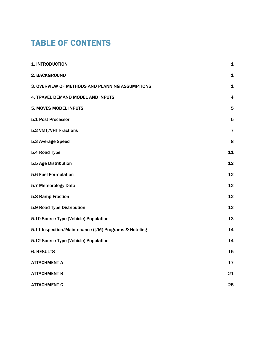# TABLE OF CONTENTS

| 1. INTRODUCTION                                       | 1              |
|-------------------------------------------------------|----------------|
| 2. BACKGROUND                                         | $\mathbf 1$    |
| 3. OVERVIEW OF METHODS AND PLANNING ASSUMPTIONS       | 1              |
| 4. TRAVEL DEMAND MODEL AND INPUTS                     | 4              |
| <b>5. MOVES MODEL INPUTS</b>                          | 5              |
| 5.1 Post Processor                                    | 5              |
| 5.2 VMT/VHT Fractions                                 | $\overline{7}$ |
| 5.3 Average Speed                                     | 8              |
| 5.4 Road Type                                         | 11             |
| 5.5 Age Distribution                                  | 12             |
| <b>5.6 Fuel Formulation</b>                           | 12             |
| 5.7 Meteorology Data                                  | 12             |
| 5.8 Ramp Fraction                                     | 12             |
| 5.9 Road Type Distribution                            | 12             |
| 5.10 Source Type (Vehicle) Population                 | 13             |
| 5.11 Inspection/Maintenance (I/M) Programs & Hoteling | 14             |
| 5.12 Source Type (Vehicle) Population                 | 14             |
| <b>6. RESULTS</b>                                     | 15             |
| <b>ATTACHMENT A</b>                                   | 17             |
| <b>ATTACHMENT B</b>                                   | 21             |
| <b>ATTACHMENT C</b>                                   | 25             |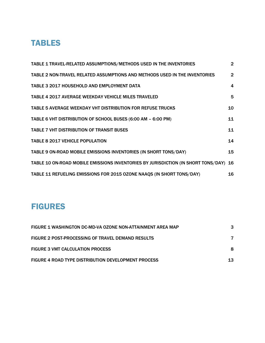## TABLES

| TABLE 1 TRAVEL-RELATED ASSUMPTIONS/METHODS USED IN THE INVENTORIES                   | $\overline{2}$ |
|--------------------------------------------------------------------------------------|----------------|
| TABLE 2 NON-TRAVEL RELATED ASSUMPTIONS AND METHODS USED IN THE INVENTORIES           | $2^{\circ}$    |
| <b>TABLE 3 2017 HOUSEHOLD AND EMPLOYMENT DATA</b>                                    | 4              |
| <b>TABLE 4 2017 AVERAGE WEEKDAY VEHICLE MILES TRAVELED</b>                           | 5              |
| <b>TABLE 5 AVERAGE WEEKDAY VHT DISTRIBUTION FOR REFUSE TRUCKS</b>                    | 10             |
| TABLE 6 VHT DISTRIBUTION OF SCHOOL BUSES (6:00 AM - 6:00 PM)                         | 11             |
| <b>TABLE 7 VHT DISTRIBUTION OF TRANSIT BUSES</b>                                     | 11             |
| <b>TABLE 8 2017 VEHICLE POPULATION</b>                                               | 14             |
| TABLE 9 ON-ROAD MOBILE EMISSIONS INVENTORIES (IN SHORT TONS/DAY)                     | 15             |
| TABLE 10 ON-ROAD MOBILE EMISSIONS INVENTORIES BY JURISDICTION (IN SHORT TONS/DAY) 16 |                |
| TABLE 11 REFUELING EMISSIONS FOR 2015 OZONE NAAQS (IN SHORT TONS/DAY)                | 16             |

# FIGURES

| FIGURE 1 WASHINGTON DC-MD-VA OZONE NON-ATTAINMENT AREA MAP |    |
|------------------------------------------------------------|----|
| FIGURE 2 POST-PROCESSING OF TRAVEL DEMAND RESULTS          |    |
| <b>FIGURE 3 VMT CALCULATION PROCESS</b>                    |    |
| <b>FIGURE 4 ROAD TYPE DISTRIBUTION DEVELOPMENT PROCESS</b> | 13 |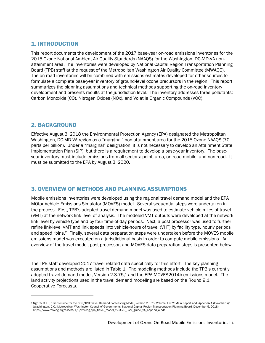## 1. INTRODUCTION

This report documents the development of the 2017 base-year on-road emissions inventories for the 2015 Ozone National Ambient Air Quality Standards (NAAQS) for the Washington, DC-MD-VA nonattainment area. The inventories were developed by National Capital Region Transportation Planning Board (TPB) staff at the request of the Metropolitan Washington Air Quality Committee (MWAQC). The on-road inventories will be combined with emissions estimates developed for other sources to formulate a complete base-year inventory of ground-level ozone precursors in the region. This report summarizes the planning assumptions and technical methods supporting the on-road inventory development and presents results at the jurisdiction level. The inventory addresses three pollutants: Carbon Monoxide (CO), Nitrogen Oxides (NOx), and Volatile Organic Compounds (VOC).

### 2. BACKGROUND

Effective August 3, 2018 the Environmental Protection Agency (EPA) designated the Metropolitan Washington, DC-MD-VA region as a "marginal" non-attainment area for the 2015 Ozone NAAQS (70 parts per billion). Under a "marginal" designation, it is not necessary to develop an Attainment State Implementation Plan (SIP), but there is a requirement to develop a base-year inventory. The baseyear inventory must include emissions from all sectors: point, area, on-road mobile, and non-road. It must be submitted to the EPA by August 3, 2020.

### 3. OVERVIEW OF METHODS AND PLANNING ASSUMPTIONS

Mobile emissions inventories were developed using the regional travel demand model and the EPA MOtor Vehicle Emissions Simulator (MOVES) model. Several sequential steps were undertaken in the process. First, TPB's adopted travel demand model was used to estimate vehicle miles of travel (VMT) at the network link level of analysis. The modeled VMT outputs were developed at the network link level by vehicle type and by four time-of-day periods. Next, a post processor was used to further refine link-level VMT and link speeds into vehicle-hours of travel (VHT) by facility type, hourly periods and speed "bins." Finally, several data preparation steps were undertaken before the MOVES mobile emissions model was executed on a jurisdictional basis in order to compute mobile emissions. An overview of the travel model, post processor, and MOVES data preparation steps is presented below.

The TPB staff developed 2017 travel-related data specifically for this effort. The key planning assumptions and methods are listed in Table 1. The modeling methods include the TPB's currently adopted travel demand model, Version 2.3.75,<sup>[1](#page-6-0)</sup> and the EPA MOVES2014b emissions model. The land activity projections used in the travel demand modeling are based on the Round 9.1 Cooperative Forecasts.

<span id="page-6-0"></span><sup>&</sup>lt;sup>1</sup> Ngo Ray et al., "User's Guide for the COG/TPB Travel Demand Forecasting Model, Version 2.3.75. Volume 1 of 2: Main Report and Appendix A (Flowcharts)" (Washington, D.C.: Metropolitan Washington Council of Governments, National Capital Region Transportation Planning Board, December 5, 2018), https://www.mwcog.org/assets/1/6/mwcog\_tpb\_travel\_model\_v2.3.75\_user\_guide\_v4\_append\_a.pdf.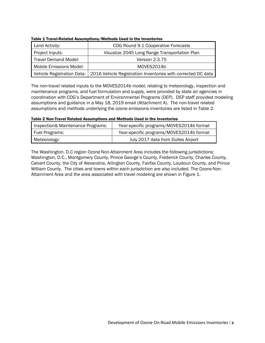| Land Activity:              | COG Round 9.1 Cooperative Forecasts                                                       |
|-----------------------------|-------------------------------------------------------------------------------------------|
| Project Inputs:             | Visualize 2045 Long Range Transportation Plan                                             |
| <b>Travel Demand Model:</b> | Version 2.3.75                                                                            |
| Mobile Emissions Model:     | MOVES2014b                                                                                |
|                             | Vehicle Registration Data:   2016 Vehicle Registration Inventories with corrected DC data |

Table 1 Travel-Related Assumptions/Methods Used in the Inventories

The non-travel related inputs to the MOVES2014b model, relating to meteorology, inspection and maintenance programs, and fuel formulation and supply, were provided by state air agencies in coordination with COG's Department of Environmental Programs (DEP). DEP staff provided modeling assumptions and guidance in a May 18, 2019 email (Attachment A). The non-travel related assumptions and methods underlying the ozone emissions inventories are listed in Table 2.

Table 2 Non-Travel Related Assumptions and Methods Used in the Inventories

| Inspection& Maintenance Programs: | Year-specific programs/MOVES2014b format |
|-----------------------------------|------------------------------------------|
| <b>Fuel Programs:</b>             | Year-specific programs/MOVES2014b format |
| Meteorology:                      | July 2017 data from Dulles Airport       |

The Washington, D.C region Ozone Non-Attainment Area includes the following jurisdictions: Washington, D.C., Montgomery County, Prince George's County, Frederick County, Charles County, Calvert County, the City of Alexandria, Arlington County, Fairfax County, Loudoun County, and Prince William County. The cities and towns within each jurisdiction are also included. The Ozone Non-Attainment Area and the area associated with travel modeling are shown in Figure 1.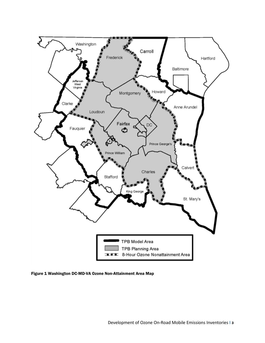

Figure 1 Washington DC-MD-VA Ozone Non-Attainment Area Map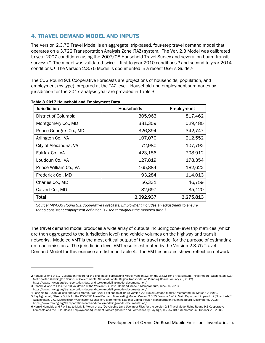## 4. TRAVEL DEMAND MODEL AND INPUTS

The Version 2.3.75 Travel Model is an aggregate, trip-based, four-step travel demand model that operates on a 3,722 Transportation Analysis Zone (TAZ) system. The Ver. 2.3 Model was calibrated to year-2007 conditions (using the 2007/08 Household Travel Survey and several on-board transit surveys).<sup>2</sup> The model was validated twice – first to year-2010 conditions  $3$  and second to year-2014 conditions.[4](#page-9-2) The Version 2.3.75 Model is documented in a recent User's Guide.[5](#page-9-3)

The COG Round 9.1 Cooperative Forecasts are projections of households, population, and employment (by type), prepared at the TAZ level. Household and employment summaries by jurisdiction for the 2017 analysis year are provided in Table 3.

| <b>Jurisdiction</b>     | <b>Households</b> | Employment |
|-------------------------|-------------------|------------|
| District of Columbia    | 305,963           | 817,462    |
| Montgomery Co., MD      | 381,359           | 529,480    |
| Prince George's Co., MD | 326,394           | 342,747    |
| Arlington Co., VA       | 107,070           | 212,552    |
| City of Alexandria, VA  | 72,980            | 107,792    |
| Fairfax Co., VA         | 423,156           | 708,912    |
| Loudoun Co., VA         | 127,819           | 178,354    |
| Prince William Co., VA  | 165,884           | 182,622    |
| Frederick Co., MD       | 93,284            | 114,013    |
| Charles Co., MD         | 56,331            | 46,759     |
| Calvert Co., MD         | 32,697            | 35,120     |
| <b>Total</b>            | 2,092,937         | 3,275,813  |

#### Table 3 2017 Household and Employment Data

*Source: MWCOG Round 9.1 Cooperative Forecasts. Employment includes an adjustment to ensure that a consistent employment definition is used throughout the modeled area.[6](#page-9-4)*

The travel demand model produces a wide array of outputs including zone-level trip matrices (which are then aggregated to the jurisdiction level) and vehicle volumes on the highway and transit networks. Modeled VMT is the most critical output of the travel model for the purpose of estimating on-road emissions. The jurisdiction-level VMT results estimated by the Version 2.3.75 Travel Demand Model for this exercise are listed in Table 4. The VMT estimates shown reflect on-network

<span id="page-9-0"></span><sup>2</sup> Ronald Milone et al., "Calibration Report for the TPB Travel Forecasting Model, Version 2.3, on the 3,722-Zone Area System," Final Report (Washington, D.C.: Metropolitan Washington Council of Governments, National Capital Region Transportation Planning Board, January 20, 2012), https://www.mwcog.org/transportation/data-and-tools/modeling/model-documentation/.

<span id="page-9-1"></span><sup>3</sup> Ronald Milone to Files, "2010 Validation of the Version 2.3 Travel Demand Model," Memorandum, June 30, 2013,

https://www.mwcog.org/transportation/data-and-tools/modeling/model-documentation/.

<span id="page-9-3"></span><span id="page-9-2"></span><sup>4</sup> Feng Xie to Dusan Vuksan and Mark Moran, "Year-2014 Validation of TPB's Version 2.3 Travel Demand Model," Memorandum, March 12, 2019. 5 Ray Ngo et al., "User's Guide for the COG/TPB Travel Demand Forecasting Model, Version 2.3.75: Volume 1 of 2: Main Report and Appendix A (Flowcharts)" (Washington, D.C.: Metropolitan Washington Council of Governments, National Capital Region Transportation Planning Board, December 5, 2018),

https://www.mwcog.org/transportation/data-and-tools/modeling/model-documentation/. 6 Hamid Humeida and Ray Ngo to Mark S. Moran et al., "Developing Land Use Input Files for the Version 2.3 Travel Model Using Round 9.1 Cooperative

<span id="page-9-4"></span>Forecasts and the CTPP-Based Employment Adjustment Factors (Update and Corrections by Ray Ngo, 10/25/18)," Memorandum, October 25, 2018.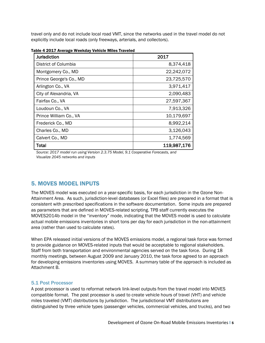travel only and do not include local road VMT, since the networks used in the travel model do not explicitly include local roads (only freeways, arterials, and collectors).

| <b>Jurisdiction</b>     | 2017        |
|-------------------------|-------------|
| District of Columbia    | 8,374,418   |
| Montgomery Co., MD      | 22,242,072  |
| Prince George's Co., MD | 23,725,570  |
| Arlington Co., VA       | 3,971,417   |
| City of Alexandria, VA  | 2,090,483   |
| Fairfax Co., VA         | 27,597,367  |
| Loudoun Co., VA         | 7,913,326   |
| Prince William Co., VA  | 10,179,697  |
| Frederick Co., MD       | 8,992,214   |
| Charles Co., MD         | 3,126,043   |
| Calvert Co., MD         | 1,774,569   |
| Total                   | 119,987,176 |

Table 4 2017 Average Weekday Vehicle Miles Traveled

*Source: 2017 model run using Version 2.3.75 Model, 9.1 Cooperative Forecasts, and Visualize 2045 networks and inputs*

### 5. MOVES MODEL INPUTS

The MOVES model was executed on a year-specific basis, for each jurisdiction in the Ozone Non-Attainment Area. As such, jurisdiction-level databases (or Excel files) are prepared in a format that is consistent with prescribed specifications in the software documentation. Some inputs are prepared as parameters that are defined in MOVES-related scripting. TPB staff currently executes the MOVES2014b model in the "inventory" mode, indicating that the MOVES model is used to calculate actual mobile emissions inventories in short tons per day for each jurisdiction in the non-attainment area (rather than used to calculate rates).

When EPA released initial versions of the MOVES emissions model, a regional task force was formed to provide guidance on MOVES-related inputs that would be acceptable to regional stakeholders. Staff from both transportation and environmental agencies served on the task force. During 18 monthly meetings, between August 2009 and January 2010, the task force agreed to an approach for developing emissions inventories using MOVES. A summary table of the approach is included as Attachment B.

#### 5.1 Post Processor

A post processor is used to reformat network link-level outputs from the travel model into MOVES compatible format. The post processor is used to create vehicle hours of travel (VHT) and vehicle miles traveled (VMT) distributions by jurisdiction. The jurisdictional VMT distributions are distinguished by three vehicle types (passenger vehicles, commercial vehicles, and trucks), and two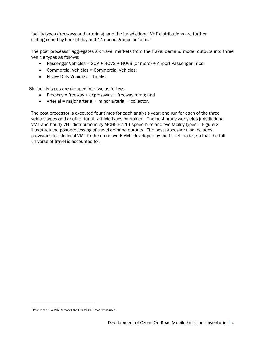facility types (freeways and arterials), and the jurisdictional VHT distributions are further distinguished by hour of day and 14 speed groups or "bins."

The post processor aggregates six travel markets from the travel demand model outputs into three vehicle types as follows:

- Passenger Vehicles = SOV + HOV2 + HOV3 (or more) + Airport Passenger Trips;
- Commercial Vehicles = Commercial Vehicles;
- Heavy Duty Vehicles = Trucks;

Six facility types are grouped into two as follows:

- Freeway = freeway + expressway + freeway ramp; and
- Arterial = major arterial + minor arterial + collector.

The post processor is executed four times for each analysis year: one run for each of the three vehicle types and another for all vehicle types combined. The post processor yields jurisdictional VMT and hourly VHT distributions by MOBILE's 14 speed bins and two facility types.<sup>7</sup> Figure 2 illustrates the post-processing of travel demand outputs. The post processor also includes provisions to add local VMT to the on-network VMT developed by the travel model, so that the full universe of travel is accounted for.

<span id="page-11-0"></span><sup>7</sup> Prior to the EPA MOVES model, the EPA MOBILE model was used.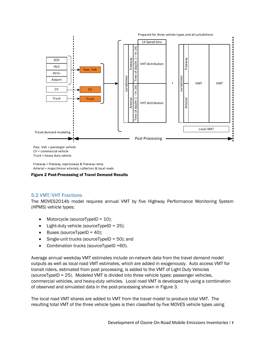

Truck = heavy duty vehicle

Freeway = freeway, expressway & freeway ramp Arterial = major/minor arterials, collectors & local roads

#### Figure 2 Post-Processing of Travel Demand Results

#### 5.2 VMT/VHT Fractions

The MOVES2014b model requires annual VMT by five Highway Performance Monitoring System (HPMS) vehicle types:

- Motorcycle (sourceTypeID = 10);
- Light-duty vehicle (sourceTypeID = 25);
- Buses (sourceTypeID = 40);
- Single-unit trucks (sourceTypeID = 50); and
- Combination trucks (sourceTypeID =60).

Average annual weekday VMT estimates include on-network data from the travel demand model outputs as well as local road VMT estimates, which are added in exogenously. Auto access VMT for transit riders, estimated from post processing, is added to the VMT of Light Duty Vehicles (sourceTypeID = 25). Modeled VMT is divided into three vehicle types: passenger vehicles, commercial vehicles, and heavy-duty vehicles. Local road VMT is developed by using a combination of observed and simulated data in the post-processing shown in Figure 3.

The local road VMT shares are added to VMT from the travel model to produce total VMT. The resulting total VMT of the three vehicle types is then classified by five MOVES vehicle types using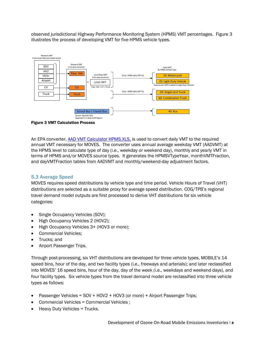observed jurisdictional Highway Performance Monitoring System (HPMS) VMT percentages. Figure 3 illustrates the process of developing VMT for five HPMS vehicle types.



Figure 3 VMT Calculation Process

An EPA converter, [AAD VMT Calculator HPMS.XLS,](http://www.epa.gov/oms/models/moves/tools/aadvmtcalculator_hpms.xls) is used to convert daily VMT to the required annual VMT necessary for MOVES. The converter uses annual average weekday VMT (AADVMT) at the HPMS level to calculate type of day (i.e., weekday or weekend day), monthly and yearly VMT in terms of HPMS and/or MOVES source types. It generates the HPMSVTypeYear, monthVMTFraction, and dayVMTFraction tables from AADVMT and monthly/weekend-day adjustment factors.

#### 5.3 Average Speed

MOVES requires speed distributions by vehicle type and time period. Vehicle Hours of Travel (VHT) distributions are selected as a suitable proxy for average speed distribution. COG/TPB's regional travel demand model outputs are first processed to derive VHT distributions for six vehicle categories:

- Single Occupancy Vehicles (SOV);
- High Occupancy Vehicles 2 (HOV2);
- High Occupancy Vehicles 3+ (HOV3 or more);
- Commercial Vehicles;
- Trucks; and
- Airport Passenger Trips.

Through post-processing, six VHT distributions are developed for three vehicle types, MOBILE's 14 speed bins, hour of the day, and two facility types (i.e., freeways and arterials); and later reclassified into MOVES' 16 speed bins, hour of the day, day of the week (i.e., weekdays and weekend days), and four facility types. Six vehicle types from the travel demand model are reclassified into three vehicle types as follows:

- Passenger Vehicles = SOV + HOV2 + HOV3 (or more) + Airport Passenger Trips;
- Commercial Vehicles = Commercial Vehicles ;
- Heavy Duty Vehicles = Trucks.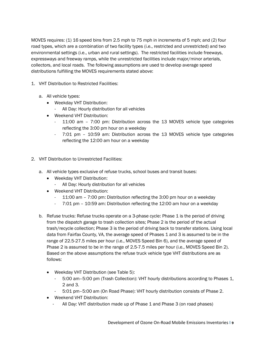MOVES requires: (1) 16 speed bins from 2.5 mph to 75 mph in increments of 5 mph; and (2) four road types, which are a combination of two facility types (i.e., restricted and unrestricted) and two environmental settings (i.e., urban and rural settings). The restricted facilities include freeways, expressways and freeway ramps, while the unrestricted facilities include major/minor arterials, collectors, and local roads. The following assumptions are used to develop average speed distributions fulfilling the MOVES requirements stated above:

- 1. VHT Distribution to Restricted Facilities:
	- a. All vehicle types:
		- Weekday VHT Distribution:
			- All Day: Hourly distribution for all vehicles
		- Weekend VHT Distribution:
			- 11:00 am 7:00 pm: Distribution across the 13 MOVES vehicle type categories reflecting the 3:00 pm hour on a weekday
			- 7:01 pm 10:59 am: Distribution across the 13 MOVES vehicle type categories reflecting the 12:00 am hour on a weekday
- 2. VHT Distribution to Unrestricted Facilities:
	- a. All vehicle types exclusive of refuse trucks, school buses and transit buses:
		- Weekday VHT Distribution:
			- All Day: Hourly distribution for all vehicles
		- Weekend VHT Distribution:
			- 11:00 am 7:00 pm: Distribution reflecting the 3:00 pm hour on a weekday
			- 7:01 pm 10:59 am: Distribution reflecting the 12:00 am hour on a weekday
	- b. Refuse trucks: Refuse trucks operate on a 3-phase cycle: Phase 1 is the period of driving from the dispatch garage to trash collection sites; Phase 2 is the period of the actual trash/recycle collection; Phase 3 is the period of driving back to transfer stations. Using local data from Fairfax County, VA, the average speed of Phases 1 and 3 is assumed to be in the range of 22.5-27.5 miles per hour (i.e., MOVES Speed Bin 6), and the average speed of Phase 2 is assumed to be in the range of 2.5-7.5 miles per hour (i.e., MOVES Speed Bin 2). Based on the above assumptions the refuse truck vehicle type VHT distributions are as follows:
		- Weekday VHT Distribution (see Table 5):
			- 5:00 am–5:00 pm (Trash Collection): VHT hourly distributions according to Phases 1, 2 and 3.
			- 5:01 pm–5:00 am (On Road Phase): VHT hourly distribution consists of Phase 2.
		- Weekend VHT Distribution:
			- All Day: VHT distribution made up of Phase 1 and Phase 3 (on road phases)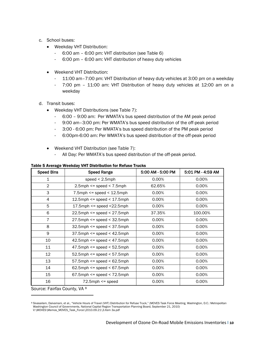- c. School buses:
	- Weekday VHT Distribution:
		- 6:00 am 6:00 pm: VHT distribution (see Table 6)
		- 6:00 pm 6:00 am: VHT distribution of heavy duty vehicles
	- Weekend VHT Distribution:
		- 11:00 am–7:00 pm: VHT Distribution of heavy duty vehicles at 3:00 pm on a weekday
		- 7:00 pm 11:00 am: VHT Distribution of heavy duty vehicles at 12:00 am on a weekday
- d. Transit buses:
	- Weekday VHT Distributions (see Table 7):
		- 6:00 9:00 am: Per WMATA's bus speed distribution of the AM peak period
		- 9:00 am–3:00 pm: Per WMATA's bus speed distribution of the off-peak period
		- 3:00 6:00 pm: Per WMATA's bus speed distribution of the PM peak period
		- 6:00pm-6:00 am: Per WMATA's bus speed distribution of the off-peak period
	- Weekend VHT Distribution (see Table 7):
		- All Day: Per WMATA's bus speed distribution of the off-peak period.

| <b>Speed Bins</b> | <b>Speed Range</b>                      | 5:00 AM - 5:00 PM | 5:01 PM - 4:59 AM |
|-------------------|-----------------------------------------|-------------------|-------------------|
| $\mathbf{1}$      | speed $< 2.5$ mph                       | 0.00%             | 0.00%             |
| $\overline{2}$    | $2.5$ mph $\leq$ speed $\leq$ 7.5mph    | 62.65%            | 0.00%             |
| 3                 | $7.5$ mph $\leq$ speed $\leq$ 12.5mph   | 0.00%             | 0.00%             |
| 4                 | $12.5$ mph $\le$ speed $\le$ 17.5mph    | 0.00%             | 0.00%             |
| 5                 | $17.5$ mph $\le$ speed $\le$ 22.5mph    | 0.00%             | 0.00%             |
| 6                 | $22.5$ mph <= speed < $27.5$ mph        | 37.35%            | 100.00%           |
| 7                 | $27.5$ mph $\leq$ speed $\leq$ 32.5mph  | 0.00%             | 0.00%             |
| 8                 | $32.5$ mph <= speed < 37.5mph           | 0.00%             | 0.00%             |
| 9                 | $37.5$ mph $\leq$ speed $\leq$ 42.5mph  | 0.00%             | 0.00%             |
| 10                | $42.5$ mph $\le$ speed $\le$ 47.5mph    | 0.00%             | 0.00%             |
| 11                | $47.5$ mph $\leq$ speed $\leq$ 52.5mph  | 0.00%             | 0.00%             |
| 12                | $52.5$ mph $\leq$ speed $\leq$ 57.5mph  | 0.00%             | 0.00%             |
| 13                | $57.5$ mph $\leq$ speed $\leq 62.5$ mph | 0.00%             | 0.00%             |
| 14                | $62.5$ mph $\leq$ speed $\leq 67.5$ mph | 0.00%             | 0.00%             |
| 15                | $67.5$ mph <= speed < $72.5$ mph        | 0.00%             | 0.00%             |
| 16                | $72.5$ mph $\leq$ speed                 | 0.00%             | 0.00%             |

Table 5 Average Weekday VHT Distribution for Refuse Trucks

Source: Fairfax County, VA [8](#page-15-0)

<span id="page-15-0"></span><sup>8</sup> Sivasailam, Daivamani, et al., "Vehicle Hours of Travel (VHT) Distribution for Refuse Truck," (MOVES Task Force Meeting, Washington, D.C.: Metropolitan Washington Council of Governments, National Capital Region Transportation Planning Board, September 21, 2010) V:\MOVES\Memos\_MOVES\_Task\_Force\2010.09.21\3.Item 3a.pdf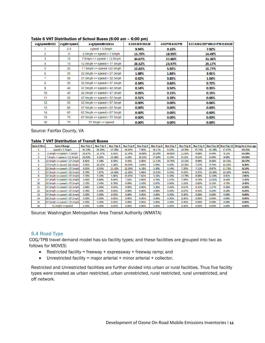| avgSpeedBinID   | avgBinSpeed | avgSpeedBinDesc                        | 6:00AM-9:00AM | 3:00PM-6:00PM | 9:01 AM-2:59P M/6:01 PM-5:59 AM |
|-----------------|-------------|----------------------------------------|---------------|---------------|---------------------------------|
|                 | 2.5         | speed $< 2.5$ mph                      | 9.94%         | 9.10%         | 7.92%                           |
| $\overline{2}$  | 5.          | $2.5$ mph <= speed < $7.5$ mph         | 13.79%        | 18.95%        | 14.49%                          |
| 3               | 10          | $7.5$ mph $\leq$ =speed $\leq$ 12.5mph | 34.07%        | 37.86%        | 31.36%                          |
| 4               | 15          | $12.5$ mph <= speed < $17.5$ mph       | 28.52%        | 23.97%        | 29.17%                          |
| 5               | 20          | $17.5$ mph <= speed <22.5mph           | 10.02%        | 5.92%         | 10.77%                          |
| 6               | 25          | $22.5$ mph <= speed < $27.5$ mph       | 1.88%         | 1.84%         | 3.91%                           |
| 7               | 30          | $27.5$ mph <= speed < $32.5$ mph       | 0.92%         | 0.85%         | 1.04%                           |
| 8               | 35          | $32.5$ mph <= speed < $37.5$ mph       | 0.34%         | 0.60%         | 0.72%                           |
| 9               | 40          | $37.5$ mph <= speed < $42.5$ mph       | 0.14%         | 0.50%         | 0.35%                           |
| 10              | 45          | $42.5$ mph <= speed < $47.5$ mph       | 0.05%         | 0.15%         | 0.15%                           |
| 11              | 50          | $47.5$ mph <= speed < $52.5$ mph       | 0.31%         | 0.28%         | 0.06%                           |
| 12 <sup>°</sup> | 55          | $52.5$ mph <= speed < $57.5$ mph       | 0.00%         | 0.00%         | 0.06%                           |
| 13              | 60          | $57.5$ mph <= speed < 62.5mph          | 0.00%         | 0.00%         | 0.00%                           |
| 14              | 65          | $62.5$ mph <= speed < $67.5$ mph       | 0.00%         | 0.00%         | $0.00\%$                        |
| 15              | 70          | $67.5$ mph <= speed < $72.5$ mph       | $0.00\%$      | 0.00%         | 0.00%                           |
| 16              | 75          | $72.5$ mph $\leq$ speed                | 0.00%         | 0.00%         | 0.00%                           |

#### Table 6 VHT Distribution of School Buses (6:00 am – 6:00 pm)

Source: Fairfax County, VA

#### Table 7 VHT Distribution of Transit Buses

| <b>Speed Bins</b> | <b>Speed Range</b>                    | <b>Bus Trip 1</b> | <b>Bus Trip 2</b> | <b>Bus Trip 3</b> | <b>Bus Trip 4</b> | <b>Bus Trip 5</b> | <b>Bus Trip 6</b> | <b>Bus Trip 7</b> | <b>Bus Trip 8</b> |        |        |        | Bus Trip 9   Bus Trip 10   Bus Trip 11   Weighted Average |
|-------------------|---------------------------------------|-------------------|-------------------|-------------------|-------------------|-------------------|-------------------|-------------------|-------------------|--------|--------|--------|-----------------------------------------------------------|
|                   | speed $<$ 2.5mph                      | 35.20%            | 24.30%            | 17.58%            | 14.65%            | 7.90%             | 16.11%            | 6.65%             | 18.30%            | 25.76% | 16.18% | 17.67% | 19.21%                                                    |
| 2                 | $2.5$ mph $\leq$ speed $<$ 7.5mph     | 10.87%            | 11.57%            | 6.45%             | 11.04%            | 29.89%            | 20.20%            | 44.83%            | 11.01%            | 9.68%  | 6.49%  | 9.12%  | 14.39%                                                    |
| з                 | $7.5$ mph <= speed < 12.5mph          | 10.90%            | 9.35%             | 12.89%            | 6.50%             | 26.31%            | 17.69%            | 3.34%             | 9.12%             | 9.52%  | 6.69%  | 8.69%  | 10.92%                                                    |
| 4                 | 12.5mph <= speed < 17.5mph            | 8.81%             | 9.18%             | 8.59%             | 9.45%             | 6.00%             | 11.13%            | 23.76%            | 10.12%            | 9.98%  | 8.46%  | 10.32% | 10.37%                                                    |
| 5                 | $17.5$ mph <= speed <22.5mph          | 5.01%             | 10.15%            | 5.18%             | 14.04%            | 3.04%             | 5.94%             | 4.09%             | 10.36%            | 7.57%  | 9.74%  | 12.02% | 8.30%                                                     |
| 6                 | 22.5mph <= speed < 27.5mph            | 8.91%             | 8.55%             | 11.62%            | 12.59%            | 6.18%             | 5.30%             | 3.54%             | 7.29%             | 7.11%  | 8.87%  | 11.73% | 8.13%                                                     |
| 7                 | $ 27.5$ mph <= speed < 32.5mph        | 8.79%             | 7.97%             | 14.36%            | 11.28%            | 5.86%             | 13.33%            | 6.35%             | 9.43%             | 5.37%  | 10.06% | 10.20% | 9.41%                                                     |
| 8                 | 32.5mph <= speed < 37.5mph            | 5.33%             | 9.10%             | 5.86%             | 13.43%            | 7.62%             | 3.32%             | 6.36%             | 13.79%            | 8.68%  | 12.04% | 6.81%  | 7.81%                                                     |
| 9                 | $37.5$ mph <= speed < 42.5mph         | 3.43%             | 6.89%             | 8.69%             | 7.02%             | 4.80%             | 3.76%             | 1.07%             | 7.94%             | 9.79%  | 13.81% | 8.16%  | 7.22%                                                     |
| 10                | $ 42.5$ mph $\leq$ speed $<$ 47.5 mph | 1.72%             | 2.44%             | 8.79%             | 0.00%             | 2.40%             | 2.87%             | 0.00%             | 1.31%             | 5.83%  | 5.15%  | 4.75%  | 3.42%                                                     |
| 11                | $ 47.5$ mph $\leq$ speed $<$ 52.5 mph | 0.68%             | 0.00%             | 0.00%             | 0.00%             | 0.00%             | 0.36%             | 0.00%             | 0.67%             | 0.31%  | 2.27%  | 0.36%  | 0.59%                                                     |
| 12                | $52.5$ mph $\leq$ speed $<$ 57.5 mph  | 0.34%             | 0.50%             | 0.00%             | 0.00%             | 0.00%             | 0.00%             | 0.00%             | 0.67%             | 0.41%  | 0.24%  | 0.18%  | 0.23%                                                     |
| 13                | $ 57.5$ mph <= speed < 62.5mph        | 0.00%             | 0.00%             | 0.00%             | 0.00%             | 0.00%             | 0.00%             | 0.00%             | 0.00%             | 0.00%  | 0.00%  | 0.00%  | 0.00%                                                     |
| 14                | $62.5$ mph $\leq$ speed $<$ 67.5 mph  | 0.00%             | 0.00%             | 0.00%             | 0.00%             | 0.00%             | 0.00%             | 0.00%             | 0.00%             | 0.00%  | 0.00%  | 0.00%  | 0.00%                                                     |
| 15                | $67.5$ mph <= speed < 72.5mph         | 0.00%             | 0.00%             | 0.00%             | 0.00%             | 0.00%             | 0.00%             | 0.00%             | 0.00%             | 0.00%  | 0.00%  | 0.00%  | 0.00%                                                     |
| 16                | $72.5$ mph $\leq$ = speed             | 0.00%             | 0.00%             | 0.00%             | 0.00%             | 0.00%             | 0.00%             | 0.00%             | 0.00%             | 0.00%  | 0.00%  | 0.00%  | 0.00%                                                     |

Source: Washington Metropolitan Area Transit Authority (WMATA)

#### 5.4 Road Type

COG/TPB travel demand model has six facility types; and these facilities are grouped into two as follows for MOVES:

- Restricted facility = freeway + expressway + freeway ramp; and
- Unrestricted facility = major arterial + minor arterial + collector.

Restricted and Unrestricted facilities are further divided into urban or rural facilities. Thus five facility types were created as urban restricted, urban unrestricted, rural restricted, rural unrestricted, and off network.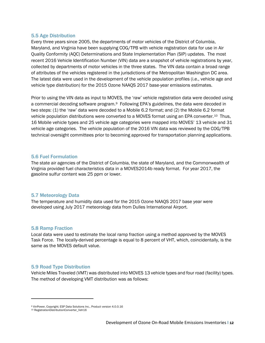#### 5.5 Age Distribution

Every three years since 2005, the departments of motor vehicles of the District of Columbia, Maryland, and Virginia have been supplying COG/TPB with vehicle registration data for use in Air Quality Conformity (AQC) Determinations and State Implementation Plan (SIP) updates. The most recent 2016 Vehicle Identification Number (VIN) data are a snapshot of vehicle registrations by year, collected by departments of motor vehicles in the three states. The VIN data contain a broad range of attributes of the vehicles registered in the jurisdictions of the Metropolitan Washington DC area. The latest data were used in the development of the vehicle population profiles (i.e., vehicle age and vehicle type distribution) for the 2015 Ozone NAAQS 2017 base-year emissions estimates.

Prior to using the VIN data as input to MOVES, the 'raw' vehicle registration data were decoded using a commercial decoding software program[.9](#page-17-0) Following EPA's guidelines, the data were decoded in two steps: (1) the 'raw' data were decoded to a Mobile 6.2 format; and (2) the Mobile 6.2 format vehicle population distributions were converted to a MOVES format using an EPA converter.[10](#page-17-1) Thus, 16 Mobile vehicle types and 25 vehicle age categories were mapped into MOVES' 13 vehicle and 31 vehicle age categories. The vehicle population of the 2016 VIN data was reviewed by the COG/TPB technical oversight committees prior to becoming approved for transportation planning applications.

#### 5.6 Fuel Formulation

The state air agencies of the District of Columbia, the state of Maryland, and the Commonwealth of Virginia provided fuel characteristics data in a MOVES2014b ready format. For year 2017, the gasoline sulfur content was 25 ppm or lower.

#### 5.7 Meteorology Data

The temperature and humidity data used for the 2015 Ozone NAAQS 2017 base year were developed using July 2017 meteorology data from Dulles International Airport.

#### 5.8 Ramp Fraction

Local data were used to estimate the local ramp fraction using a method approved by the MOVES Task Force. The locally-derived percentage is equal to 8 percent of VHT, which, coincidentally, is the same as the MOVES default value.

#### 5.9 Road Type Distribution

Vehicle Miles Traveled (VMT) was distributed into MOVES 13 vehicle types and four road (facility) types. The method of developing VMT distribution was as follows:

<span id="page-17-0"></span><sup>9</sup> VinPower, Copyright; ESP Data Solutions Inc., Product version 4.0.0.16

<span id="page-17-1"></span><sup>10</sup> RegistrationDistributionConverter\_Veh16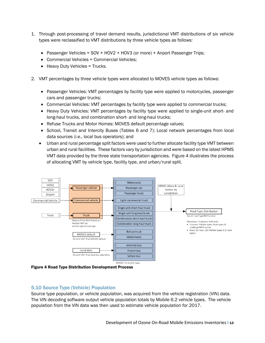- 1. Through post-processing of travel demand results, jurisdictional VMT distributions of six vehicle types were reclassified to VMT distributions by three vehicle types as follows:
	- Passenger Vehicles = SOV + HOV2 + HOV3 (or more) + Airport Passenger Trips;
	- Commercial Vehicles = Commercial Vehicles;
	- Heavy Duty Vehicles = Trucks.
- 2. VMT percentages by three vehicle types were allocated to MOVES vehicle types as follows:
	- Passenger Vehicles: VMT percentages by facility type were applied to motorcycles, passenger cars and passenger trucks;
	- Commercial Vehicles: VMT percentages by facility type were applied to commercial trucks;
	- Heavy Duty Vehicles: VMT percentages by facility type were applied to single-unit short- and long-haul trucks, and combination short- and long-haul trucks;
	- Refuse Trucks and Motor Homes: MOVES default percentage values;
	- School, Transit and Intercity Buses (Tables 6 and 7): Local network percentages from local data sources (i.e., local bus operators); and
	- Urban and rural percentage split factors were used to further allocate facility type VMT between urban and rural facilities. These factors vary by jurisdiction and were based on the latest HPMS VMT data provided by the three state transportation agencies. Figure 4 illustrates the process of allocating VMT by vehicle type, facility type, and urban/rural split.



Figure 4 Road Type Distribution Development Process

#### 5.10 Source Type (Vehicle) Population

Source type population, or vehicle population, was acquired from the vehicle registration (VIN) data. The VIN decoding software output vehicle population totals by Mobile 6.2 vehicle types. The vehicle population from the VIN data was then used to estimate vehicle population for 2017.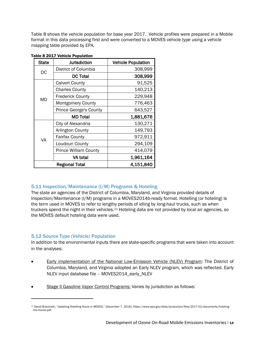Table 8 shows the vehicle population for base year 2017. Vehicle profiles were prepared in a Mobile format in this data processing first and were converted to a MOVES vehicle type using a vehicle mapping table provided by EPA.

| <b>State</b> | <b>Jurisdiction</b>           | <b>Vehicle Population</b> |
|--------------|-------------------------------|---------------------------|
| DC           | District of Columbia          | 308,999                   |
|              | <b>DC Total</b>               | 308,999                   |
|              | <b>Calvert County</b>         | 91,525                    |
|              | <b>Charles County</b>         | 140,213                   |
| <b>MD</b>    | <b>Frederick County</b>       | 229,948                   |
|              | <b>Montgomery County</b>      | 776,463                   |
|              | <b>Prince George's County</b> | 643,527                   |
|              | <b>MD Total</b>               | 1,881,676                 |
|              | City of Alexandria            | 130,271                   |
|              | Arlington County              | 149,793                   |
| VA           | <b>Fairfax County</b>         | 972,911                   |
|              | Loudoun County                | 294,109                   |
|              | <b>Prince William County</b>  | 414,079                   |
|              | VA total                      | 1,961,164                 |
|              | <b>Regional Total</b>         | 4,151,840                 |

| <b>Table 8 2017 Vehicle Population</b> |
|----------------------------------------|
|----------------------------------------|

#### 5.11 Inspection/Maintenance (I/M) Programs & Hoteling

The state air agencies of the District of Columbia, Maryland, and Virginia provided details of Inspection/Maintenance (I/M) programs in a MOVES2014b-ready format. Hotelling (or hoteling) is the term used in MOVES to refer to lengthy periods of idling by long-haul trucks, such as when truckers spend the night in their vehicles.<sup>[11](#page-19-0)</sup> Hoteling data are not provided by local air agencies, so the MOVES default hoteling data were used.

#### 5.12 Source Type (Vehicle) Population

In addition to the environmental inputs there are state-specific programs that were taken into account in the analyses:

- Early implementation of the National Low-Emission Vehicle (NLEV) Program: The District of Columbia, Maryland, and Virginia adopted an Early NLEV program, which was reflected. Early NLEV input database file – MOVES2014\_early\_NLEV
- Stage II Gasoline Vapor Control Programs: Varies by jurisdiction as follows:

<span id="page-19-0"></span><sup>11</sup> David Brzezinski, "Updating Hotelling Hours in MOVES," (December 7, 2016), https://www.epa.gov/sites/production/files/2017-01/documents/hotelinghrs-moves.pdf.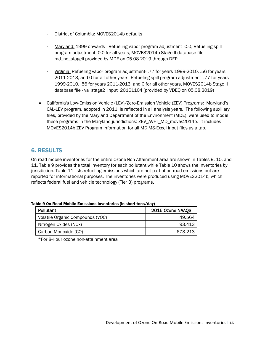- District of Columbia: MOVES2014b defaults
- Maryland: 1999 onwards Refueling vapor program adjustment- 0.0, Refueling spill program adjustment- 0.0 for all years; MOVES2014b Stage II database file md\_no\_stageii provided by MDE on 05.08.2019 through DEP
- Virginia: Refueling vapor program adjustment- .77 for years 1999-2010, .56 for years 2011-2013, and 0 for all other years; Refueling spill program adjustment- .77 for years 1999-2010, .56 for years 2011-2013, and 0 for all other years, MOVES2014b Stage II database file - va\_stage2\_input\_20161104 (provided by VDEO on 05.08.2019)
- California's Low-Emission Vehicle (LEV)/Zero-Emission Vehicle (ZEV) Programs: Maryland's CAL-LEV program, adopted in 2011, is reflected in all analysis years. The following auxiliary files, provided by the Maryland Department of the Environment (MDE), were used to model these programs in the Maryland jurisdictions: ZEV\_AVFT\_MD\_moves2014b. It includes MOVES2014b ZEV Program Information for all MD MS-Excel input files as a tab.

## 6. RESULTS

On-road mobile inventories for the entire Ozone Non-Attainment area are shown in Tables 9, 10, and 11. Table 9 provides the total inventory for each pollutant while Table 10 shows the inventories by jurisdiction. Table 11 lists refueling emissions which are not part of on-road emissions but are reported for informational purposes. The inventories were produced using MOVES2014b, which reflects federal fuel and vehicle technology (Tier 3) programs.

| Table 9 On-Road Mobile Emissions Inventories (in short tons/day) |
|------------------------------------------------------------------|
|------------------------------------------------------------------|

| Pollutant                        | 2015 Ozone NAAQS |
|----------------------------------|------------------|
| Volatile Organic Compounds (VOC) | 49.564           |
| Nitrogen Oxides (NOx)            | 93.413           |
| Carbon Monoxide (CO)             | 673.213          |

\*For 8-Hour ozone non-attainment area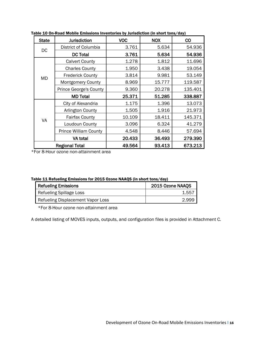| <b>State</b>          | <b>Jurisdiction</b>           | <b>VOC</b> | <b>NOX</b> | <b>CO</b> |
|-----------------------|-------------------------------|------------|------------|-----------|
| <b>DC</b>             | District of Columbia          | 3.761      | 5.634      | 54.936    |
|                       | <b>DC Total</b>               | 3.761      | 5.634      | 54.936    |
|                       | <b>Calvert County</b>         | 1.278      | 1.812      | 11.696    |
|                       | <b>Charles County</b>         | 1.950      | 3.438      | 19.054    |
| <b>MD</b>             | <b>Frederick County</b>       | 3.814      | 9.981      | 53.149    |
|                       | <b>Montgomery County</b>      | 8.969      | 15.777     | 119.587   |
|                       | <b>Prince George's County</b> | 9.360      | 20.278     | 135.401   |
|                       | <b>MD Total</b>               | 25.371     | 51.285     | 338.887   |
|                       | City of Alexandria            | 1.175      | 1.396      | 13.073    |
|                       | Arlington County              | 1.505      | 1.916      | 21.973    |
| VA                    | <b>Fairfax County</b>         | 10.109     | 18.411     | 145.371   |
|                       | Loudoun County                | 3.096      | 6.324      | 41.279    |
|                       | <b>Prince William County</b>  | 4.548      | 8.446      | 57.694    |
|                       | VA total                      | 20.433     | 36.493     | 279.390   |
| <b>Regional Total</b> |                               | 49.564     | 93.413     | 673.213   |

Table 10 On-Road Mobile Emissions Inventories by Jurisdiction (in short tons/day)

\*For 8-Hour ozone non-attainment area

| Refueling Emissions               | 2015 Ozone NAAQS |
|-----------------------------------|------------------|
| Refueling Spillage Loss           | 1.557            |
| Refueling Displacement Vapor Loss | 2.999            |

\*For 8-Hour ozone non-attainment area

A detailed listing of MOVES inputs, outputs, and configuration files is provided in Attachment C.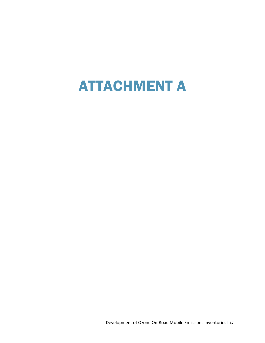# ATTACHMENT A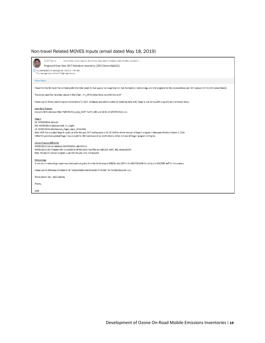### Non-travel Related MOVES Inputs (email dated May 18, 2019)

| Sunil Kumar<br>Jinchul Park; Dusan Vuksan; Jane Posey; Mark Moran; Stephen Walz; Jennifer Desimone *<br>Proposed Base Year 2017 Emissions Inventory (2015 Ozone NAAQS)<br>(i) You forwarded this message on 7/9/2019 11:44 AM.<br>This message was sent with High importance.                                                                                                                                                                                  |
|----------------------------------------------------------------------------------------------------------------------------------------------------------------------------------------------------------------------------------------------------------------------------------------------------------------------------------------------------------------------------------------------------------------------------------------------------------------|
| <b>Action Items</b>                                                                                                                                                                                                                                                                                                                                                                                                                                            |
| Please find the MS-Excel files containing MOVES2014b inputs for fuel supply, fuel usage fraction, fuel formulation, meteorology, and I/M programs for the proposed base year 2017 analysis for the 2015 ozone NAAQS.                                                                                                                                                                                                                                           |
| The above input files have been placed in the folder - H:\ SIP On-Road Emiss Inv\2015 Ozone SIP                                                                                                                                                                                                                                                                                                                                                                |
| Please use the three control programs listed below for 2017. Databases provided by states for modeling Early NLEV, Stage II, and Cal-Lev/ZEV programs are mentioned below.                                                                                                                                                                                                                                                                                     |
| Early NELV Program<br>Use early NLEV database titled "MOVES2014_early_NLEV" for DC, MD, and VA for all MOVES2014b runs.                                                                                                                                                                                                                                                                                                                                        |
| Stage II<br>DC: MOVES2014b defaults<br>MD: MOVES2014b database (md no stageii)<br>VA: MOVES2014b database (va_stage2_input_20161104)<br>Note: MDE first provided Stage II inputs (valid for the year 2017 and beyond) on 02.20.2018 to reflect removal of Stage II program in Maryland effective October 1, 2016.<br>VDEQ first provided updated Stage II inputs (valid for 2014 and beyond) on 11.04.2016 to reflect removal of Stage II program in Virginia. |
| Cal-Lev Program (MD Only)<br>MOVES2014b Cal-Lev database (MOVES2014 caleviii2011)<br>MOVES2014b ZEV Program info- is included in all MD Excel input files as a tab (ZEV_AVFT_MD_moves2014b)<br>Note: Maryland's Cal-Lev program is valid for the year 2011 and beyond.                                                                                                                                                                                         |
| Meteorology<br>A new set of meteorology inputs was developed using data from the Dulles airport (IAD) for July 2017 in the MOVES2014b format by the COG/DEP staff for this analysis.                                                                                                                                                                                                                                                                           |
| Please use the following combination of "representative month/week of the day" for the MOVES2014b runs.                                                                                                                                                                                                                                                                                                                                                        |
| Ozone season day - July/weekday                                                                                                                                                                                                                                                                                                                                                                                                                                |
| Thanks.                                                                                                                                                                                                                                                                                                                                                                                                                                                        |
| Sunil                                                                                                                                                                                                                                                                                                                                                                                                                                                          |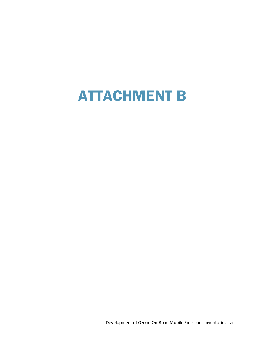# ATTACHMENT B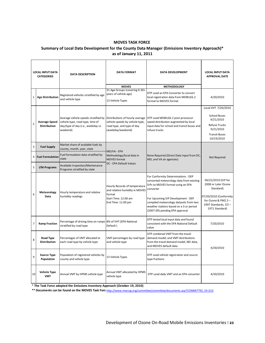#### **MOVES TASK FORCE**

#### **Summary of Local Data Development for the County Data Manager (Emissions Inventory Approach)\* as of January 11, 2011**

|                | <b>LOCAL INPUT DATA</b><br><b>CATEGORIES</b> | <b>DATA DESCRIPTION</b>                                                                                                                                   | <b>DATA FORMAT</b>                                                                                                      | <b>DATA DEVELOPMENT</b>                                                                                                                                                                                                                                                                        | <b>LOCAL INPUT DATA</b><br><b>APPROVAL DATE</b>                                                                                                   |  |
|----------------|----------------------------------------------|-----------------------------------------------------------------------------------------------------------------------------------------------------------|-------------------------------------------------------------------------------------------------------------------------|------------------------------------------------------------------------------------------------------------------------------------------------------------------------------------------------------------------------------------------------------------------------------------------------|---------------------------------------------------------------------------------------------------------------------------------------------------|--|
| $\mathbf{1}$   | <b>Age Distribution</b>                      | Registered vehicles stratified by age<br>and vehicle type                                                                                                 | <b>MOVES</b><br>31 Age Groups (covering 0-30+<br>years of vehicle age)<br>13 Vehicle Types                              | <b>METHODOLOGY</b><br>DTP used an EPA Converter to convert<br>local registration data from MOBILE6.2<br>format to MOVES format                                                                                                                                                                 | 4/20/2010                                                                                                                                         |  |
| $\overline{2}$ | <b>Average Speed</b><br><b>Distribution</b>  | Average vehicle speeds stratified by Distributions of hourly average<br>vehicle type, road type, time of<br>day/type of day (i.e., weekday vs<br>weekend) | vehicle speeds by vehicle type,<br>road type, and type of day<br>(weekday/weekend)                                      | DTP used MOBILE6.2 post-processor<br>speed distribution augmented by local<br>input data for school and transit buses and<br>refuse trucks                                                                                                                                                     | Local VHT 7/20/2010<br><b>School Buses</b><br>9/21/2010<br><b>Refuse Trucks</b><br>9/21/2010<br><b>Transit Buses</b><br>10/19/2010                |  |
| 3              | <b>Fuel Supply</b>                           | Market share of available fuels by<br>county, month, year, state                                                                                          | MD/VA - EPA                                                                                                             |                                                                                                                                                                                                                                                                                                |                                                                                                                                                   |  |
|                | 4 Fuel Formulation                           | Fuel formulation data stratified by<br>state                                                                                                              | Methodology/local data in<br><b>MOVES</b> format                                                                        | None Required (Direct Data Input from DC,<br>MD, and VA air agencies)                                                                                                                                                                                                                          | Not Required                                                                                                                                      |  |
| 5              | I/M Programs                                 | Available Inspection/Maintenance<br>Programs stratified by state                                                                                          | DC - EPA Default Values                                                                                                 |                                                                                                                                                                                                                                                                                                |                                                                                                                                                   |  |
| 6              | Meteorology<br>Data                          | Hourly temperature and relative<br>humidity readings                                                                                                      | Hourly Records of temperature<br>and relative humidity in MOVES<br>format<br>Start Time: 12:00 am<br>End Time: 11:00 pm | For Conformity Determinations - DEP<br>converted meteorology data from existing<br>SIPs to MOVES format using an EPA<br>converter<br>For Upcoming SIP Development - DEP<br>compiled meteorology datasets from two<br>weather stations based on a 3-yr period<br>(2007-09) pending EPA approval | 06/22/2010 (SIP for<br>2008 or Later Ozone<br>Standard)<br>07/20/2010 (Conformity<br>for Ozone & PM2.5 -<br>1997 Standards, CO-<br>1971 Standard) |  |
| 7              | <b>Ramp Fraction</b>                         | Percentage of driving time on ramps 8% of VHT (EPA National<br>stratified by road type                                                                    | Default)                                                                                                                | DTP tested local input data and found<br>consistent with the EPA National Default<br>value                                                                                                                                                                                                     | 7/20/2010                                                                                                                                         |  |
| 8              | Road Type<br><b>Distribution</b>             | Percentages of VMT allocated to<br>each road type by vehicle type                                                                                         | VMT percentages by road type<br>and vehicle type                                                                        | DTP combined VMT from the travel<br>demand model; and VMT distributions<br>from the travel demand model, NEI data,<br>and MOVES default data                                                                                                                                                   | 4/20/2010                                                                                                                                         |  |
| 9              | <b>Source Type</b><br>Population             | Population of registered vehicles by<br>county and vehicle type                                                                                           | 13 Vehicle Types                                                                                                        | DTP used vehicle registration and source<br>type fractions                                                                                                                                                                                                                                     |                                                                                                                                                   |  |
| 10             | <b>Vehicle Type</b><br><b>VMT</b>            | Annual VMT by HPMS vehicle type                                                                                                                           | Annual VMT allocated by HPMS<br>vehicle type                                                                            | DTP used daily VMT and an EPA converter                                                                                                                                                                                                                                                        | 4/20/2010                                                                                                                                         |  |

\* **The Task Force adopted the Emissions Inventory Approach (October 19, 2010)**

**\*\* Documents can be found on the MOVES Task Force** http://www.mwcog.org/committee/committee/documents.asp?COMMITTEE\_ID=253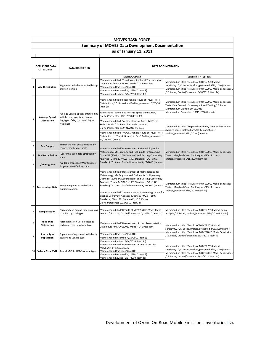|                | <b>MOVES TASK FORCE</b>                                |                                                                          |                                                                                                                                                                                                                                                                                                                                                                                                                                                                                                             |                                                                                                                                                                                                                                |  |
|----------------|--------------------------------------------------------|--------------------------------------------------------------------------|-------------------------------------------------------------------------------------------------------------------------------------------------------------------------------------------------------------------------------------------------------------------------------------------------------------------------------------------------------------------------------------------------------------------------------------------------------------------------------------------------------------|--------------------------------------------------------------------------------------------------------------------------------------------------------------------------------------------------------------------------------|--|
|                | <b>Summary of MOVES Data Development Documentation</b> |                                                                          |                                                                                                                                                                                                                                                                                                                                                                                                                                                                                                             |                                                                                                                                                                                                                                |  |
|                | as of January 11, 2011                                 |                                                                          |                                                                                                                                                                                                                                                                                                                                                                                                                                                                                                             |                                                                                                                                                                                                                                |  |
|                |                                                        |                                                                          |                                                                                                                                                                                                                                                                                                                                                                                                                                                                                                             |                                                                                                                                                                                                                                |  |
|                | <b>LOCAL INPUT DATA</b>                                | <b>DATA DESCRIPTION</b>                                                  | <b>DATA DOCUMENTATION</b>                                                                                                                                                                                                                                                                                                                                                                                                                                                                                   |                                                                                                                                                                                                                                |  |
|                | <b>CATEGORIES</b>                                      |                                                                          |                                                                                                                                                                                                                                                                                                                                                                                                                                                                                                             |                                                                                                                                                                                                                                |  |
|                |                                                        |                                                                          | <b>METHODOLOGY</b>                                                                                                                                                                                                                                                                                                                                                                                                                                                                                          | <b>SENSITIVITY TESTING</b>                                                                                                                                                                                                     |  |
| $\mathbf{1}$   | <b>Age Distribution</b>                                | Registered vehicles stratified by age<br>and vehicle type                | Memorandum titled "Development of Local Transportation<br>Data Inputs for MOVES2010 Model" D. Sivasailam<br>Memorandum Drafted: 4/13/2010<br>Memorandum Presented: 4/20/2010 (Item 3)<br>Memorandum Revised: 5/14/2010 (Item 3b)                                                                                                                                                                                                                                                                            | Memorandum titled "Results of MOVES 2010 Model<br>Sensitivity", E. Lucas, Drafted/presented 4/20/2010 (Item 4)<br>Memorandum titled "Results of MOVES2010 Model Sensitivity<br>E. Lucas, Drafted/presented 5/18/2010 (Item 4a) |  |
|                |                                                        |                                                                          | Memorandum titled "Local Vehicle Hours of Travel (VHT)<br>Distributions," D. Sivasailam Drafted/presented 7/20/10<br>(Item 3b)                                                                                                                                                                                                                                                                                                                                                                              | Memorandum titled "Results of MOVES2010 Model Sensitivity<br>Tests: Final Scenario for Average Speed Testing," E. Lucas<br>Memorandum Drafted: 10/16/2010                                                                      |  |
| $\overline{2}$ | <b>Average Speed</b>                                   | Average vehicle speeds stratified by<br>vehicle type, road type, time of | Tables titled "School Bus Average Speed Distribution,"<br>Drafted/presented 9/21/2010 (Item 3a)                                                                                                                                                                                                                                                                                                                                                                                                             | Memorandum Presented: 10/19/2010 (Item 4)                                                                                                                                                                                      |  |
|                | <b>Distribution</b>                                    | day/type of day (i.e., weekday vs<br>weekend)                            | Memorandum titled "Vehicle Hours of Travel (VHT) for<br>Refuse Trucks," D. Sivasailam and E. Morrow,<br>Drafted/presented on 9/21/2010 (Item 3a)                                                                                                                                                                                                                                                                                                                                                            | Memorandum titled "Proposed Sensitivity Tests with Different<br>Average Speed Distributions/SIP Temperatures"                                                                                                                  |  |
|                |                                                        |                                                                          | Memorandum titled "MOVES Vehicle Hours of Travel (VHT)<br>Distribution for Transit Buses," Y. Gao" Drafted/presented on<br>10/19/2010 (Item 3)                                                                                                                                                                                                                                                                                                                                                              | Drafted/presented 9/21/2010 (Item 3a)                                                                                                                                                                                          |  |
| 3              | <b>Fuel Supply</b>                                     | Market share of available fuels by<br>county, month, year, state         | Memorandum titled "Development of Methodologies for                                                                                                                                                                                                                                                                                                                                                                                                                                                         |                                                                                                                                                                                                                                |  |
| 4              | <b>Fuel Formulation</b>                                | Fuel formulation data stratified by<br>state                             | Meteorology, I/M Program, and Fuel Inputs for Upcoming<br>Ozone SIP (2008 or 2010 Standard) and Existing Conformity<br>Analyses (Ozone & PM2.5 - 1997 Standards, CO - 1971                                                                                                                                                                                                                                                                                                                                  | Memorandum titled "Results of MOVES2010 Model Sensitivity<br>Tests:Maryland Clean Car Program-ZEV," E. Lucas,<br>Drafted/presented 5/18/2010 (Item 4a)                                                                         |  |
| 5              | I/M Programs                                           | Available Inspection/Maintenance<br>Programs stratified by state         | Standard)," S. Kumar Drafted/presented 6/22/2010 (Item 4a)                                                                                                                                                                                                                                                                                                                                                                                                                                                  |                                                                                                                                                                                                                                |  |
| 6              | <b>Meteorology Data</b>                                | Hourly temperature and relative<br>humidity readings                     | Memorandum titled "Development of Methodologies for<br>Meteorology, I/M Program, and Fuel Inputs for Upcoming<br>Ozone SIP (2008 or 2010 Standard) and Existing Conformity<br>Analyses (Ozone & PM2.5 - 1997 Standards, CO - 1971<br>Standard)," S. Kumar Drafted/presented 6/22/2010 (Item 4a)<br>Memorandum titled "Development of Meteorology Inputs for<br>existing Conformity Analyses (Ozone & PM2.5 - 1997<br>Standards, CO - 1971 Standard)", )," S. Kumar<br>Drafted/presented 7/20/2010 (Item3a)" | Memorandum titled "Results of MOVES2010 Model Sensitivity<br>Tests:Maryland Clean Car Program-ZEV," E. Lucas,<br>Drafted/presented 5/18/2010 (Item 4a)                                                                         |  |
| $\overline{7}$ | <b>Ramp Fraction</b>                                   | Percentage of driving time on ramps<br>stratified by road type           | Memorandum titled "Results of MOVES 2010 Model Ramp<br>Analysis," E. Lucas, Drafted/presented 7/20/2010 (Item 4a)                                                                                                                                                                                                                                                                                                                                                                                           | Memorandum titled "Results of MOVES 2010 Model Ramp<br>Analysis," E. Lucas, Drafted/presented 7/20/2010 (Item 4a)                                                                                                              |  |
| 8              | Road Type<br><b>Distribution</b>                       | Percentages of VMT allocated to<br>each road type by vehicle type        | Memorandum titled "Development of Local Transportation<br>Data Inputs for MOVES2010 Model," D. Sivasailam                                                                                                                                                                                                                                                                                                                                                                                                   | Memorandum titled "Results of MOVES 2010 Model<br>Sensitivity", E. Lucas, Drafted/presented 4/20/2010 (Item 4)                                                                                                                 |  |
| 9              | <b>Source Type</b><br>Population                       | Population of registered vehicles by<br>county and vehicle type          | Memorandum Drafted: 4/13/2010<br>Memorandum Presented: 4/20/2010 (Item 3)<br>Memorandum Revised: 5/14/2010 (Item 3b)                                                                                                                                                                                                                                                                                                                                                                                        | Memorandum titled "Results of MOVES2010 Model Sensitivity<br>E. Lucas, Drafted/presented 5/18/2010 (Item 4a)                                                                                                                   |  |
| 10             |                                                        | Vehicle Type VMT Annual VMT by HPMS vehicle type                         | Memorandum titled "Development of Annual VMT for<br>MOVES2010."D. Sivasailam<br>Memorandum Drafted: 4/16/2010<br>Memorandum Presented: 4/20/2010 (Item 3)<br>Memorandum Revised: 5/14/2010 (Item 3b)                                                                                                                                                                                                                                                                                                        | Memorandum titled "Results of MOVES 2010 Model<br>Sensitivity", E. Lucas, Drafted/presented 4/20/2010 (Item 4)<br>Memorandum titled "Results of MOVES2010 Model Sensitivity<br>E. Lucas, Drafted/presented 5/18/2010 (Item 4a) |  |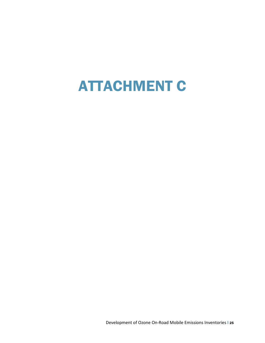# ATTACHMENT C